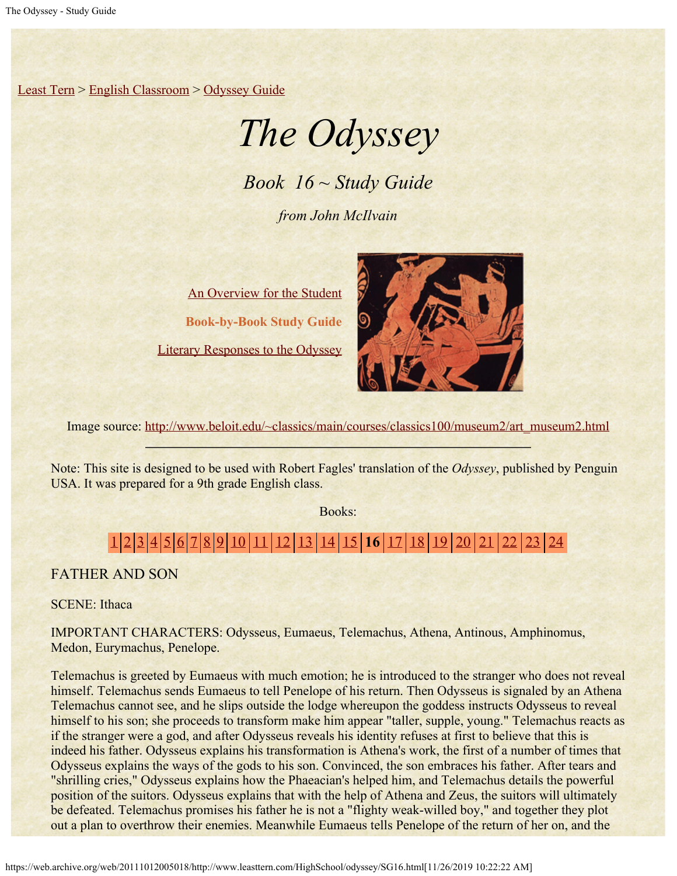[Least Tern](https://web.archive.org/web/20111012005018/http://www.leasttern.com/index.html) > [English Classroom](https://web.archive.org/web/20111012005018/http://www.leasttern.com/Engclass.html) > [Odyssey Guide](https://web.archive.org/web/20111012005018/http://www.leasttern.com/HighSchool/odyssey/Odyssey.html)

## *The Odyssey*

*Book 16 ~ Study Guide*

*from John McIlvain*

[An Overview for the Student](https://web.archive.org/web/20111012005018/http://www.leasttern.com/HighSchool/odyssey/Odyssey1.html) **Book-by-Book Study Guide** [Literary Responses to the Odyssey](https://web.archive.org/web/20111012005018/http://www.leasttern.com/HighSchool/odyssey/Odysseyresponses.html)



Image source: [http://www.beloit.edu/~classics/main/courses/classics100/museum2/art\\_museum2.html](https://web.archive.org/web/20111012005018/http://www.beloit.edu/%7Eclassics/main/courses/classics100/museum2/art_museum2.html)

Note: This site is designed to be used with Robert Fagles' translation of the *Odyssey*, published by Penguin USA. It was prepared for a 9th grade English class.

Books:

## [1](https://web.archive.org/web/20111012005018/http://www.leasttern.com/HighSchool/odyssey/SG1.html) [2](https://web.archive.org/web/20111012005018/http://www.leasttern.com/HighSchool/odyssey/SG2.html) [3](https://web.archive.org/web/20111012005018/http://www.leasttern.com/HighSchool/odyssey/SG3.html) [4](https://web.archive.org/web/20111012005018/http://www.leasttern.com/HighSchool/odyssey/SG4.html) [5](https://web.archive.org/web/20111012005018/http://www.leasttern.com/HighSchool/odyssey/SG5.html) [6](https://web.archive.org/web/20111012005018/http://www.leasttern.com/HighSchool/odyssey/SG6.html) [7](https://web.archive.org/web/20111012005018/http://www.leasttern.com/HighSchool/odyssey/SG7.html) [8](https://web.archive.org/web/20111012005018/http://www.leasttern.com/HighSchool/odyssey/SG8.html) [9](https://web.archive.org/web/20111012005018/http://www.leasttern.com/HighSchool/odyssey/SG9.html) [10](https://web.archive.org/web/20111012005018/http://www.leasttern.com/HighSchool/odyssey/SG10.html) [11](https://web.archive.org/web/20111012005018/http://www.leasttern.com/HighSchool/odyssey/SG11.html) [12](https://web.archive.org/web/20111012005018/http://www.leasttern.com/HighSchool/odyssey/SG12.html) [13](https://web.archive.org/web/20111012005018/http://www.leasttern.com/HighSchool/odyssey/SG13.html) [14](https://web.archive.org/web/20111012005018/http://www.leasttern.com/HighSchool/odyssey/SG14.html) [15](https://web.archive.org/web/20111012005018/http://www.leasttern.com/HighSchool/odyssey/SG15.html) **16** [17](https://web.archive.org/web/20111012005018/http://www.leasttern.com/HighSchool/odyssey/SG17.html) [18](https://web.archive.org/web/20111012005018/http://www.leasttern.com/HighSchool/odyssey/SG18.html) [19](https://web.archive.org/web/20111012005018/http://www.leasttern.com/HighSchool/odyssey/SG19.html) [20](https://web.archive.org/web/20111012005018/http://www.leasttern.com/HighSchool/odyssey/SG20.html) [21](https://web.archive.org/web/20111012005018/http://www.leasttern.com/HighSchool/odyssey/SG21.html) [22](https://web.archive.org/web/20111012005018/http://www.leasttern.com/HighSchool/odyssey/SG22.html) [23](https://web.archive.org/web/20111012005018/http://www.leasttern.com/HighSchool/odyssey/SG23.html) [24](https://web.archive.org/web/20111012005018/http://www.leasttern.com/HighSchool/odyssey/SG24.html)

FATHER AND SON

SCENE: Ithaca

IMPORTANT CHARACTERS: Odysseus, Eumaeus, Telemachus, Athena, Antinous, Amphinomus, Medon, Eurymachus, Penelope.

Telemachus is greeted by Eumaeus with much emotion; he is introduced to the stranger who does not reveal himself. Telemachus sends Eumaeus to tell Penelope of his return. Then Odysseus is signaled by an Athena Telemachus cannot see, and he slips outside the lodge whereupon the goddess instructs Odysseus to reveal himself to his son; she proceeds to transform make him appear "taller, supple, young." Telemachus reacts as if the stranger were a god, and after Odysseus reveals his identity refuses at first to believe that this is indeed his father. Odysseus explains his transformation is Athena's work, the first of a number of times that Odysseus explains the ways of the gods to his son. Convinced, the son embraces his father. After tears and "shrilling cries," Odysseus explains how the Phaeacian's helped him, and Telemachus details the powerful position of the suitors. Odysseus explains that with the help of Athena and Zeus, the suitors will ultimately be defeated. Telemachus promises his father he is not a "flighty weak-willed boy," and together they plot out a plan to overthrow their enemies. Meanwhile Eumaeus tells Penelope of the return of her on, and the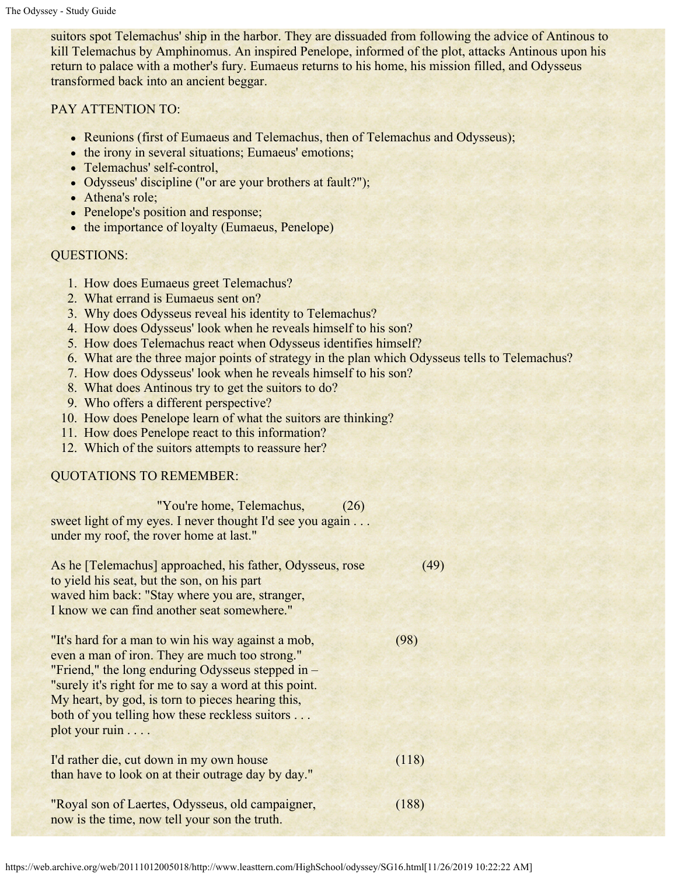suitors spot Telemachus' ship in the harbor. They are dissuaded from following the advice of Antinous to kill Telemachus by Amphinomus. An inspired Penelope, informed of the plot, attacks Antinous upon his return to palace with a mother's fury. Eumaeus returns to his home, his mission filled, and Odysseus transformed back into an ancient beggar.

PAY ATTENTION TO:

- Reunions (first of Eumaeus and Telemachus, then of Telemachus and Odysseus);
- the irony in several situations; Eumaeus' emotions;
- Telemachus' self-control,
- Odysseus' discipline ("or are your brothers at fault?");
- Athena's role;
- Penelope's position and response;
- the importance of loyalty (Eumaeus, Penelope)

## QUESTIONS:

- 1. How does Eumaeus greet Telemachus?
- 2. What errand is Eumaeus sent on?
- 3. Why does Odysseus reveal his identity to Telemachus?
- 4. How does Odysseus' look when he reveals himself to his son?
- 5. How does Telemachus react when Odysseus identifies himself?
- 6. What are the three major points of strategy in the plan which Odysseus tells to Telemachus?
- 7. How does Odysseus' look when he reveals himself to his son?
- 8. What does Antinous try to get the suitors to do?
- 9. Who offers a different perspective?
- 10. How does Penelope learn of what the suitors are thinking?
- 11. How does Penelope react to this information?
- 12. Which of the suitors attempts to reassure her?

## QUOTATIONS TO REMEMBER:

 "You're home, Telemachus, (26) sweet light of my eyes. I never thought I'd see you again . . . under my roof, the rover home at last."

| As he [Telemachus] approached, his father, Odysseus, rose | 49    |
|-----------------------------------------------------------|-------|
| to yield his seat, but the son, on his part               |       |
| waved him back: "Stay where you are, stranger,            |       |
| I know we can find another seat somewhere."               |       |
|                                                           |       |
| "It's hard for a man to win his way against a mob,        | (98)  |
| even a man of iron. They are much too strong."            |       |
| "Friend," the long enduring Odysseus stepped in $-$       |       |
| "surely it's right for me to say a word at this point.    |       |
| My heart, by god, is torn to pieces hearing this,         |       |
| both of you telling how these reckless suitors            |       |
| plot your ruin                                            |       |
|                                                           |       |
| I'd rather die, cut down in my own house                  | (118) |
| than have to look on at their outrage day by day."        |       |
|                                                           |       |
| "Royal son of Laertes, Odysseus, old campaigner,          | (188) |
| now is the time, now tell your son the truth.             |       |